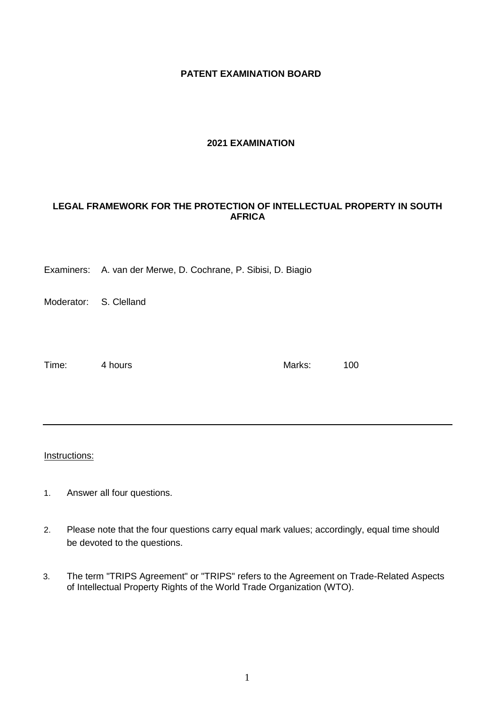## **PATENT EXAMINATION BOARD**

# **2021 EXAMINATION**

# **LEGAL FRAMEWORK FOR THE PROTECTION OF INTELLECTUAL PROPERTY IN SOUTH AFRICA**

|  | Examiners: A. van der Merwe, D. Cochrane, P. Sibisi, D. Biagio |  |  |  |  |  |
|--|----------------------------------------------------------------|--|--|--|--|--|
|--|----------------------------------------------------------------|--|--|--|--|--|

Moderator: S. Clelland

Time: 4 hours and 100

#### Instructions:

- 1. Answer all four questions.
- 2. Please note that the four questions carry equal mark values; accordingly, equal time should be devoted to the questions.
- 3. The term "TRIPS Agreement" or "TRIPS" refers to the Agreement on Trade-Related Aspects of Intellectual Property Rights of the World Trade Organization (WTO).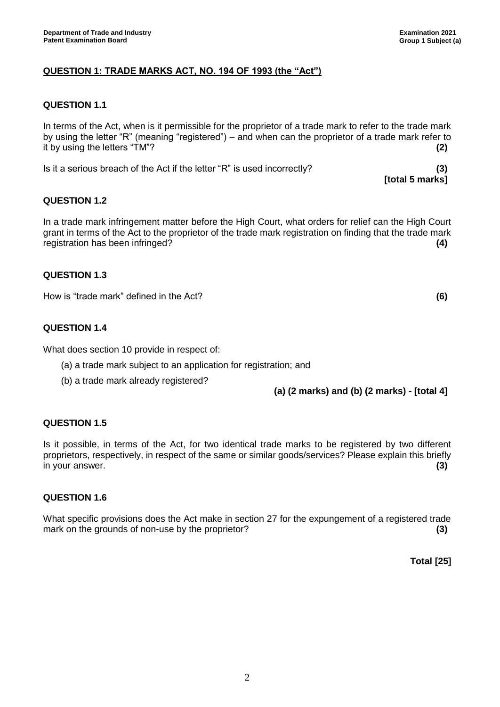# **QUESTION 1: TRADE MARKS ACT, NO. 194 OF 1993 (the "Act")**

#### **QUESTION 1.1**

In terms of the Act, when is it permissible for the proprietor of a trade mark to refer to the trade mark by using the letter "R" (meaning "registered") – and when can the proprietor of a trade mark refer to it by using the letters "TM"? **(2)**

Is it a serious breach of the Act if the letter "R" is used incorrectly? **(3)**

**[total 5 marks]**

## **QUESTION 1.2**

In a trade mark infringement matter before the High Court, what orders for relief can the High Court grant in terms of the Act to the proprietor of the trade mark registration on finding that the trade mark registration has been infringed? **(4)**

#### **QUESTION 1.3**

How is "trade mark" defined in the Act? **(6)**

## **QUESTION 1.4**

What does section 10 provide in respect of:

- (a) a trade mark subject to an application for registration; and
- (b) a trade mark already registered?

**(a) (2 marks) and (b) (2 marks) - [total 4]**

#### **QUESTION 1.5**

Is it possible, in terms of the Act, for two identical trade marks to be registered by two different proprietors, respectively, in respect of the same or similar goods/services? Please explain this briefly in your answer. **(3)**

#### **QUESTION 1.6**

What specific provisions does the Act make in section 27 for the expungement of a registered trade mark on the grounds of non-use by the proprietor? **(3)**

**Total [25]**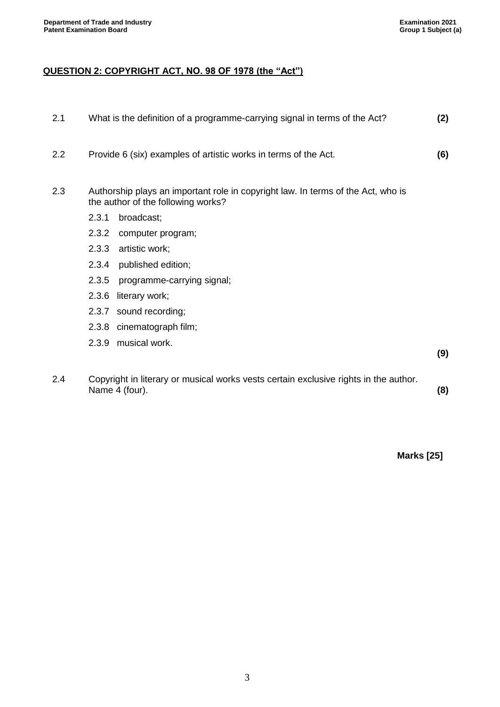# **QUESTION 2: COPYRIGHT ACT, NO. 98 OF 1978 (the "Act")**

| 2.1 | What is the definition of a programme-carrying signal in terms of the Act?                                             | (2) |
|-----|------------------------------------------------------------------------------------------------------------------------|-----|
| 2.2 | Provide 6 (six) examples of artistic works in terms of the Act.                                                        | (6) |
| 2.3 | Authorship plays an important role in copyright law. In terms of the Act, who is<br>the author of the following works? |     |
|     | 2.3.1<br>broadcast;                                                                                                    |     |
|     | 2.3.2<br>computer program;                                                                                             |     |
|     | 2.3.3<br>artistic work;                                                                                                |     |
|     | 2.3.4<br>published edition;                                                                                            |     |
|     | 2.3.5<br>programme-carrying signal;                                                                                    |     |
|     | 2.3.6<br>literary work;                                                                                                |     |
|     | 2.3.7 sound recording;                                                                                                 |     |
|     | 2.3.8 cinematograph film;                                                                                              |     |
|     | 2.3.9 musical work.                                                                                                    | (9) |
|     |                                                                                                                        |     |
| 2.4 | Copyright in literary or musical works vests certain exclusive rights in the author.<br>Name 4 (four).                 | (8) |

**Marks [25]**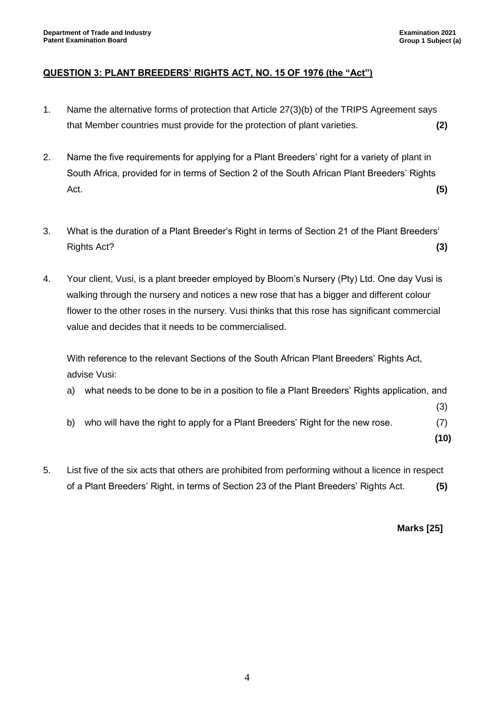# **QUESTION 3: PLANT BREEDERS' RIGHTS ACT, NO. 15 OF 1976 (the "Act")**

- 1. Name the alternative forms of protection that Article 27(3)(b) of the TRIPS Agreement says that Member countries must provide for the protection of plant varieties. **(2)**
- 2. Name the five requirements for applying for a Plant Breeders' right for a variety of plant in South Africa, provided for in terms of Section 2 of the South African Plant Breeders' Rights Act. **(5)**
- 3. What is the duration of a Plant Breeder's Right in terms of Section 21 of the Plant Breeders' Rights Act? **(3)**
- 4. Your client, Vusi, is a plant breeder employed by Bloom's Nursery (Pty) Ltd. One day Vusi is walking through the nursery and notices a new rose that has a bigger and different colour flower to the other roses in the nursery. Vusi thinks that this rose has significant commercial value and decides that it needs to be commercialised.

With reference to the relevant Sections of the South African Plant Breeders' Rights Act, advise Vusi:

- a) what needs to be done to be in a position to file a Plant Breeders' Rights application, and
- b) who will have the right to apply for a Plant Breeders' Right for the new rose. (7)
	- **(10)**

(3)

5. List five of the six acts that others are prohibited from performing without a licence in respect of a Plant Breeders' Right, in terms of Section 23 of the Plant Breeders' Rights Act. **(5)**

**Marks [25]**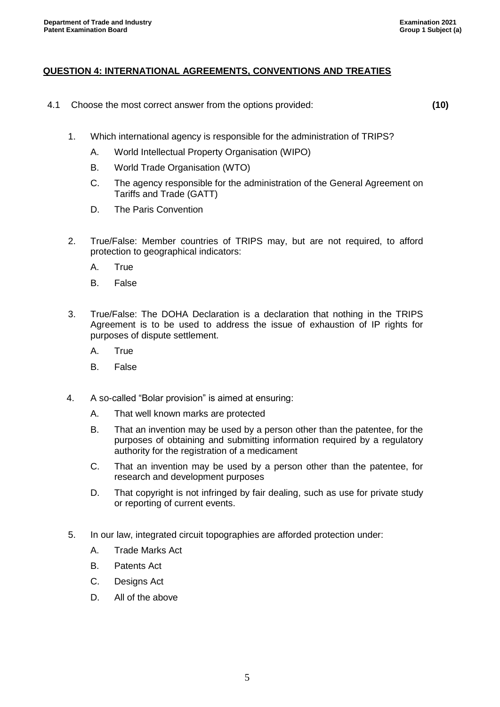# **QUESTION 4: INTERNATIONAL AGREEMENTS, CONVENTIONS AND TREATIES**

4.1 Choose the most correct answer from the options provided:

**(10)**

- 1. Which international agency is responsible for the administration of TRIPS?
	- A. World Intellectual Property Organisation (WIPO)
	- B. World Trade Organisation (WTO)
	- C. The agency responsible for the administration of the General Agreement on Tariffs and Trade (GATT)
	- D. The Paris Convention
- 2. True/False: Member countries of TRIPS may, but are not required, to afford protection to geographical indicators:
	- A. True
	- B. False
- 3. True/False: The DOHA Declaration is a declaration that nothing in the TRIPS Agreement is to be used to address the issue of exhaustion of IP rights for purposes of dispute settlement.
	- A. True
	- B. False
- 4. A so-called "Bolar provision" is aimed at ensuring:
	- A. That well known marks are protected
	- B. That an invention may be used by a person other than the patentee, for the purposes of obtaining and submitting information required by a regulatory authority for the registration of a medicament
	- C. That an invention may be used by a person other than the patentee, for research and development purposes
	- D. That copyright is not infringed by fair dealing, such as use for private study or reporting of current events.
- 5. In our law, integrated circuit topographies are afforded protection under:
	- A. Trade Marks Act
	- B. Patents Act
	- C. Designs Act
	- D. All of the above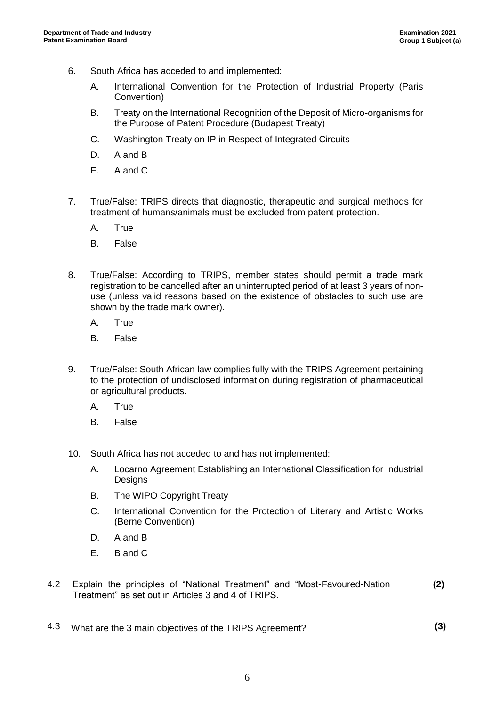- 6. South Africa has acceded to and implemented:
	- A. International Convention for the Protection of Industrial Property (Paris Convention)
	- B. Treaty on the International Recognition of the Deposit of Micro-organisms for the Purpose of Patent Procedure (Budapest Treaty)
	- C. Washington Treaty on IP in Respect of Integrated Circuits
	- D. A and B
	- E. A and C
- 7. True/False: TRIPS directs that diagnostic, therapeutic and surgical methods for treatment of humans/animals must be excluded from patent protection.
	- A. True
	- B. False
- 8. True/False: According to TRIPS, member states should permit a trade mark registration to be cancelled after an uninterrupted period of at least 3 years of nonuse (unless valid reasons based on the existence of obstacles to such use are shown by the trade mark owner).
	- A. True
	- B. False
- 9. True/False: South African law complies fully with the TRIPS Agreement pertaining to the protection of undisclosed information during registration of pharmaceutical or agricultural products.
	- A. True
	- B. False
- 10. South Africa has not acceded to and has not implemented:
	- A. Locarno Agreement Establishing an International Classification for Industrial **Designs**
	- B. The WIPO Copyright Treaty
	- C. International Convention for the Protection of Literary and Artistic Works (Berne Convention)
	- D. A and B
	- E. B and C
- 4.2 Explain the principles of "National Treatment" and "Most-Favoured-Nation Treatment" as set out in Articles 3 and 4 of TRIPS. **(2)**
- 4.3 What are the 3 main objectives of the TRIPS Agreement? **(3)**